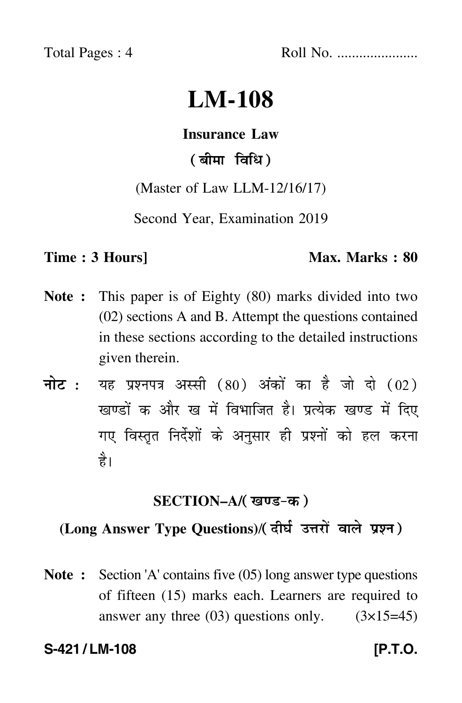Total Pages : 4 Roll No. ......................

# **LM-108**

#### **Insurance Law**

# ( बीमा विधि )

(Master of Law LLM-12/16/17)

Second Year, Examination 2019

#### **Time : 3 Hours]** Max. Marks : 80

- **Note :** This paper is of Eighty (80) marks divided into two (02) sections A and B. Attempt the questions contained in these sections according to the detailed instructions given therein.
- नोट : यह प्रश्नपत्र अस्सी (80) अंकों का है जो दो (02) खण्डों क और ख में विभाजित है। प्रत्येक खण्ड में दिए गए विस्तृत निर्देशों के अनुसार ही प्रश्नों को हल करना है।

# **SECTION–A/**

# **(Long Answer Type Questions)**/

**Note :** Section 'A' contains five (05) long answer type questions of fifteen (15) marks each. Learners are required to answer any three  $(03)$  questions only.  $(3\times15=45)$ 

#### **S-421 / LM-108 [P.T.O.**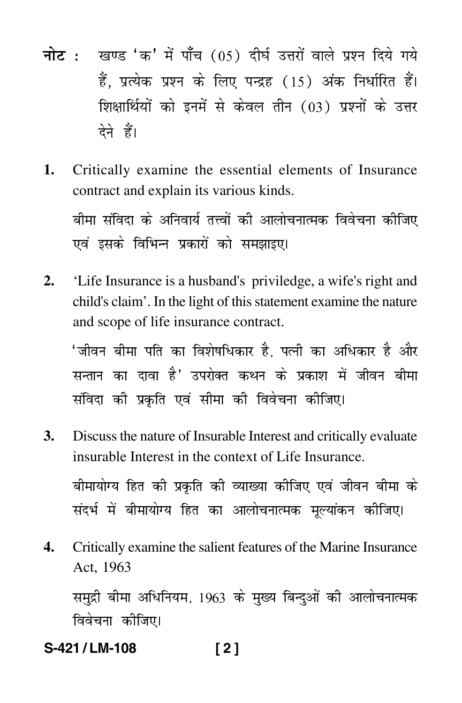- नोट : खण्ड 'क' में पाँच (05) दीर्घ उत्तरों वाले प्रश्न दिये गये हैं, प्रत्येक प्रश्न के लिए पन्द्रह (15) अंक निर्धारित हैं। शिक्षार्थियों को इनमें से केवल तीन (03) प्रश्नों के उत्तर देने हैं।
- Critically examine the essential elements of Insurance  $1.$ contract and explain its various kinds. बीमा संविदा के अनिवार्य तत्त्वों की आलोचनात्मक विवेचना कीजिए

एवं इसके विभिन्न प्रकारों को समझाइए।

 $2.$ 'Life Insurance is a husband's priviledge, a wife's right and child's claim'. In the light of this statement examine the nature and scope of life insurance contract.

'जीवन बीमा पति का विशेषधिकार है, पत्नी का अधिकार है और सन्तान का दावा है' उपरोक्त कथन के प्रकाश में जीवन बीमा संविदा की प्रकृति एवं सीमा की विवेचना कीजिए।

- $3.$ Discuss the nature of Insurable Interest and critically evaluate insurable Interest in the context of Life Insurance. बीमायोग्य हित की प्रकृति की व्याख्या कीजिए एवं जीवन बीमा के संदर्भ में बीमायोग्य हित का आलोचनात्मक मल्यांकन कीजिए।
- Critically examine the salient features of the Marine Insurance 4. Act. 1963

समद्री बीमा अधिनियम, 1963 के मुख्य बिन्दुओं की आलोचनात्मक विवेचना कीजिए।

S-421/LM-108  $[2]$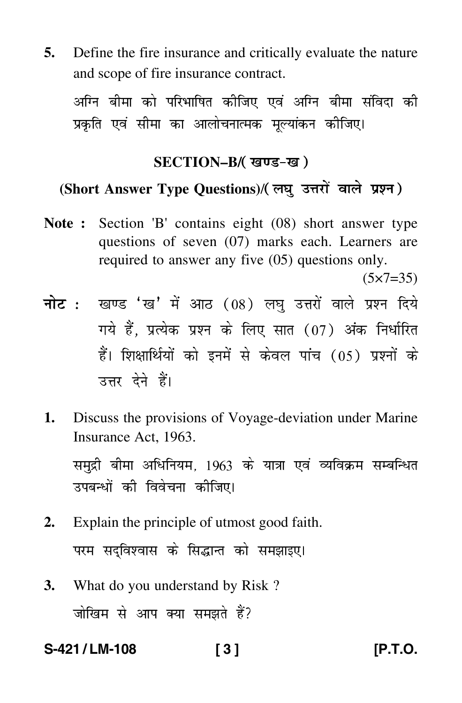**5.** Define the fire insurance and critically evaluate the nature and scope of fire insurance contract.

अग्नि बीमा को परिभाषित कीजिए एवं अग्नि बीमा संविदा की प्रकृति एवं सीमा का आलोचनात्मक मूल्यांकन कीजिए।

### **SECTION–B/**

### **(Short Answer Type Questions)**/

**Note :** Section 'B' contains eight (08) short answer type questions of seven (07) marks each. Learners are required to answer any five (05) questions only.

 $(5 \times 7 = 35)$ 

- <mark>नोट</mark> : खण्ड 'ख' में आठ (08) लघु उत्तरों वाले प्रश्न दिये गये हैं, प्रत्येक प्रश्न के लिए सात (07) अंक निर्धारित हैं। शिक्षार्थियों को इनमें से केवल पांच (05) प्रश्नों के उत्तर देने हैं।
- **1.** Discuss the provisions of Voyage-deviation under Marine Insurance Act, 1963.

समुद्री बीमा अधिनियम, 1963 के यात्रा एवं व्यविक्रम सम्बन्धित उपबन्धों की विवेचना कीजिए।

- **2.** Explain the principle of utmost good faith. परम सद्विश्वास के सिद्धान्त को समझाइए।
- **3.** What do you understand by Risk ? जोखिम से आप क्या समझते हैं?

**S-421 / LM-108 [ 3 ] [P.T.O.**